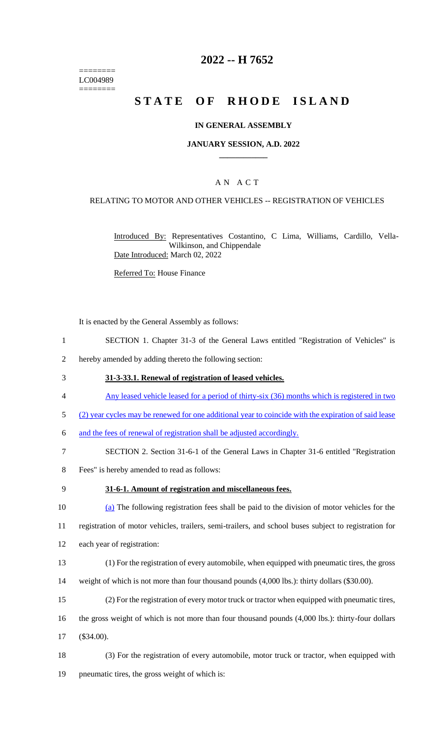======== LC004989 ========

# **2022 -- H 7652**

# **STATE OF RHODE ISLAND**

#### **IN GENERAL ASSEMBLY**

#### **JANUARY SESSION, A.D. 2022 \_\_\_\_\_\_\_\_\_\_\_\_**

## A N A C T

#### RELATING TO MOTOR AND OTHER VEHICLES -- REGISTRATION OF VEHICLES

Introduced By: Representatives Costantino, C Lima, Williams, Cardillo, Vella-Wilkinson, and Chippendale Date Introduced: March 02, 2022

Referred To: House Finance

It is enacted by the General Assembly as follows:

- 1 SECTION 1. Chapter 31-3 of the General Laws entitled "Registration of Vehicles" is
- 2 hereby amended by adding thereto the following section:
- 3 **31-3-33.1. Renewal of registration of leased vehicles.**
- 4 Any leased vehicle leased for a period of thirty-six (36) months which is registered in two
- 5 (2) year cycles may be renewed for one additional year to coincide with the expiration of said lease
- 6 and the fees of renewal of registration shall be adjusted accordingly.
- 7 SECTION 2. Section 31-6-1 of the General Laws in Chapter 31-6 entitled "Registration
- 8 Fees" is hereby amended to read as follows:
- 

### 9 **31-6-1. Amount of registration and miscellaneous fees.**

10 (a) The following registration fees shall be paid to the division of motor vehicles for the 11 registration of motor vehicles, trailers, semi-trailers, and school buses subject to registration for

- 12 each year of registration:
- 13 (1) For the registration of every automobile, when equipped with pneumatic tires, the gross 14 weight of which is not more than four thousand pounds (4,000 lbs.): thirty dollars (\$30.00).
- 15 (2) For the registration of every motor truck or tractor when equipped with pneumatic tires,
- 16 the gross weight of which is not more than four thousand pounds (4,000 lbs.): thirty-four dollars 17 (\$34.00).
- 18 (3) For the registration of every automobile, motor truck or tractor, when equipped with 19 pneumatic tires, the gross weight of which is: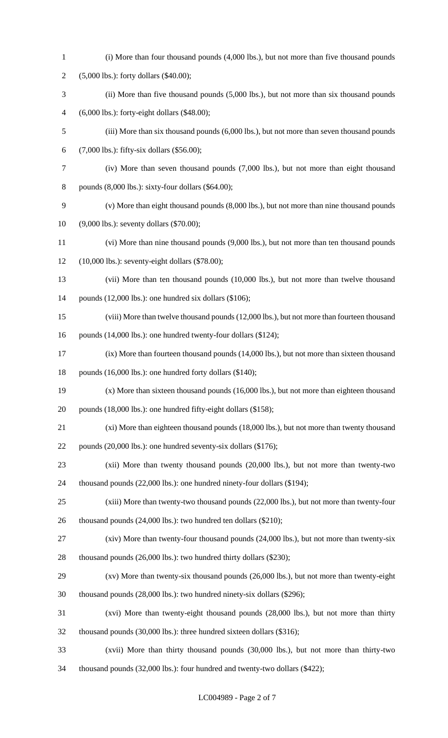(i) More than four thousand pounds (4,000 lbs.), but not more than five thousand pounds (5,000 lbs.): forty dollars (\$40.00); (ii) More than five thousand pounds (5,000 lbs.), but not more than six thousand pounds (6,000 lbs.): forty-eight dollars (\$48.00); (iii) More than six thousand pounds (6,000 lbs.), but not more than seven thousand pounds (7,000 lbs.): fifty-six dollars (\$56.00); (iv) More than seven thousand pounds (7,000 lbs.), but not more than eight thousand pounds (8,000 lbs.): sixty-four dollars (\$64.00); (v) More than eight thousand pounds (8,000 lbs.), but not more than nine thousand pounds (9,000 lbs.): seventy dollars (\$70.00); (vi) More than nine thousand pounds (9,000 lbs.), but not more than ten thousand pounds (10,000 lbs.): seventy-eight dollars (\$78.00); (vii) More than ten thousand pounds (10,000 lbs.), but not more than twelve thousand pounds (12,000 lbs.): one hundred six dollars (\$106); (viii) More than twelve thousand pounds (12,000 lbs.), but not more than fourteen thousand 16 pounds (14,000 lbs.): one hundred twenty-four dollars (\$124); (ix) More than fourteen thousand pounds (14,000 lbs.), but not more than sixteen thousand pounds (16,000 lbs.): one hundred forty dollars (\$140); (x) More than sixteen thousand pounds (16,000 lbs.), but not more than eighteen thousand 20 pounds (18,000 lbs.): one hundred fifty-eight dollars (\$158); (xi) More than eighteen thousand pounds (18,000 lbs.), but not more than twenty thousand pounds (20,000 lbs.): one hundred seventy-six dollars (\$176); (xii) More than twenty thousand pounds (20,000 lbs.), but not more than twenty-two thousand pounds (22,000 lbs.): one hundred ninety-four dollars (\$194); (xiii) More than twenty-two thousand pounds (22,000 lbs.), but not more than twenty-four thousand pounds (24,000 lbs.): two hundred ten dollars (\$210); (xiv) More than twenty-four thousand pounds (24,000 lbs.), but not more than twenty-six thousand pounds (26,000 lbs.): two hundred thirty dollars (\$230); (xv) More than twenty-six thousand pounds (26,000 lbs.), but not more than twenty-eight thousand pounds (28,000 lbs.): two hundred ninety-six dollars (\$296); (xvi) More than twenty-eight thousand pounds (28,000 lbs.), but not more than thirty thousand pounds (30,000 lbs.): three hundred sixteen dollars (\$316); (xvii) More than thirty thousand pounds (30,000 lbs.), but not more than thirty-two thousand pounds (32,000 lbs.): four hundred and twenty-two dollars (\$422);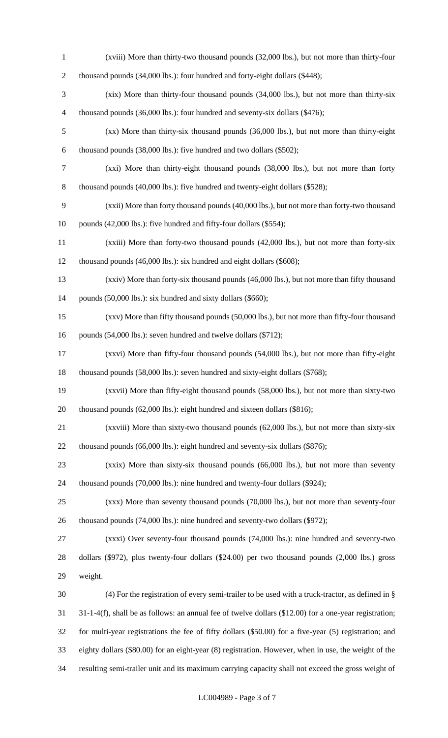(xviii) More than thirty-two thousand pounds (32,000 lbs.), but not more than thirty-four 2 thousand pounds (34,000 lbs.): four hundred and forty-eight dollars (\$448); (xix) More than thirty-four thousand pounds (34,000 lbs.), but not more than thirty-six thousand pounds (36,000 lbs.): four hundred and seventy-six dollars (\$476); (xx) More than thirty-six thousand pounds (36,000 lbs.), but not more than thirty-eight thousand pounds (38,000 lbs.): five hundred and two dollars (\$502); (xxi) More than thirty-eight thousand pounds (38,000 lbs.), but not more than forty thousand pounds (40,000 lbs.): five hundred and twenty-eight dollars (\$528); (xxii) More than forty thousand pounds (40,000 lbs.), but not more than forty-two thousand 10 pounds (42,000 lbs.): five hundred and fifty-four dollars (\$554); (xxiii) More than forty-two thousand pounds (42,000 lbs.), but not more than forty-six thousand pounds (46,000 lbs.): six hundred and eight dollars (\$608); (xxiv) More than forty-six thousand pounds (46,000 lbs.), but not more than fifty thousand 14 pounds (50,000 lbs.): six hundred and sixty dollars (\$660); (xxv) More than fifty thousand pounds (50,000 lbs.), but not more than fifty-four thousand 16 pounds (54,000 lbs.): seven hundred and twelve dollars (\$712); (xxvi) More than fifty-four thousand pounds (54,000 lbs.), but not more than fifty-eight thousand pounds (58,000 lbs.): seven hundred and sixty-eight dollars (\$768); (xxvii) More than fifty-eight thousand pounds (58,000 lbs.), but not more than sixty-two 20 thousand pounds (62,000 lbs.): eight hundred and sixteen dollars (\$816); (xxviii) More than sixty-two thousand pounds (62,000 lbs.), but not more than sixty-six 22 thousand pounds (66,000 lbs.): eight hundred and seventy-six dollars (\$876); (xxix) More than sixty-six thousand pounds (66,000 lbs.), but not more than seventy thousand pounds (70,000 lbs.): nine hundred and twenty-four dollars (\$924); (xxx) More than seventy thousand pounds (70,000 lbs.), but not more than seventy-four 26 thousand pounds (74,000 lbs.): nine hundred and seventy-two dollars (\$972); (xxxi) Over seventy-four thousand pounds (74,000 lbs.): nine hundred and seventy-two dollars (\$972), plus twenty-four dollars (\$24.00) per two thousand pounds (2,000 lbs.) gross weight. (4) For the registration of every semi-trailer to be used with a truck-tractor, as defined in § 31-1-4(f), shall be as follows: an annual fee of twelve dollars (\$12.00) for a one-year registration; for multi-year registrations the fee of fifty dollars (\$50.00) for a five-year (5) registration; and eighty dollars (\$80.00) for an eight-year (8) registration. However, when in use, the weight of the resulting semi-trailer unit and its maximum carrying capacity shall not exceed the gross weight of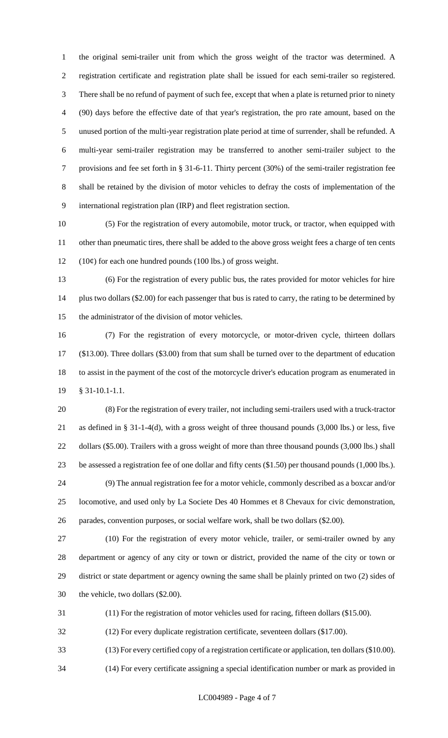the original semi-trailer unit from which the gross weight of the tractor was determined. A registration certificate and registration plate shall be issued for each semi-trailer so registered. There shall be no refund of payment of such fee, except that when a plate is returned prior to ninety (90) days before the effective date of that year's registration, the pro rate amount, based on the unused portion of the multi-year registration plate period at time of surrender, shall be refunded. A multi-year semi-trailer registration may be transferred to another semi-trailer subject to the provisions and fee set forth in § 31-6-11. Thirty percent (30%) of the semi-trailer registration fee shall be retained by the division of motor vehicles to defray the costs of implementation of the international registration plan (IRP) and fleet registration section.

 (5) For the registration of every automobile, motor truck, or tractor, when equipped with other than pneumatic tires, there shall be added to the above gross weight fees a charge of ten cents 12  $(10¢)$  for each one hundred pounds (100 lbs.) of gross weight.

 (6) For the registration of every public bus, the rates provided for motor vehicles for hire 14 plus two dollars (\$2.00) for each passenger that bus is rated to carry, the rating to be determined by the administrator of the division of motor vehicles.

 (7) For the registration of every motorcycle, or motor-driven cycle, thirteen dollars (\$13.00). Three dollars (\$3.00) from that sum shall be turned over to the department of education to assist in the payment of the cost of the motorcycle driver's education program as enumerated in § 31-10.1-1.1.

 (8) For the registration of every trailer, not including semi-trailers used with a truck-tractor as defined in § 31-1-4(d), with a gross weight of three thousand pounds (3,000 lbs.) or less, five dollars (\$5.00). Trailers with a gross weight of more than three thousand pounds (3,000 lbs.) shall be assessed a registration fee of one dollar and fifty cents (\$1.50) per thousand pounds (1,000 lbs.). (9) The annual registration fee for a motor vehicle, commonly described as a boxcar and/or

 locomotive, and used only by La Societe Des 40 Hommes et 8 Chevaux for civic demonstration, parades, convention purposes, or social welfare work, shall be two dollars (\$2.00).

 (10) For the registration of every motor vehicle, trailer, or semi-trailer owned by any department or agency of any city or town or district, provided the name of the city or town or district or state department or agency owning the same shall be plainly printed on two (2) sides of the vehicle, two dollars (\$2.00).

(11) For the registration of motor vehicles used for racing, fifteen dollars (\$15.00).

(12) For every duplicate registration certificate, seventeen dollars (\$17.00).

(13) For every certified copy of a registration certificate or application, ten dollars (\$10.00).

(14) For every certificate assigning a special identification number or mark as provided in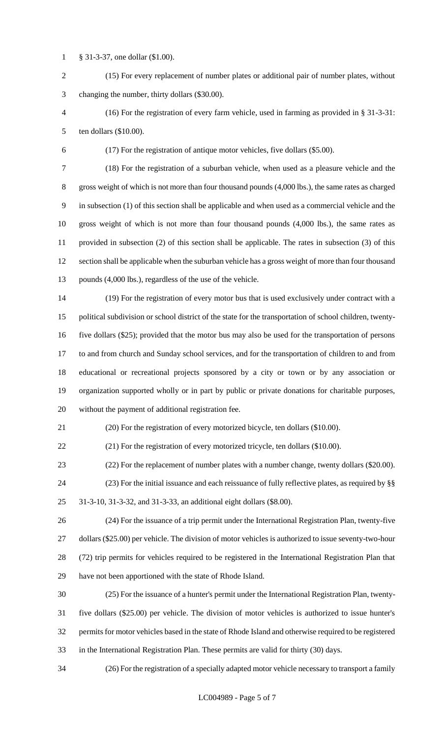§ 31-3-37, one dollar (\$1.00).

 (15) For every replacement of number plates or additional pair of number plates, without changing the number, thirty dollars (\$30.00).

 (16) For the registration of every farm vehicle, used in farming as provided in § 31-3-31: ten dollars (\$10.00).

(17) For the registration of antique motor vehicles, five dollars (\$5.00).

 (18) For the registration of a suburban vehicle, when used as a pleasure vehicle and the gross weight of which is not more than four thousand pounds (4,000 lbs.), the same rates as charged in subsection (1) of this section shall be applicable and when used as a commercial vehicle and the gross weight of which is not more than four thousand pounds (4,000 lbs.), the same rates as provided in subsection (2) of this section shall be applicable. The rates in subsection (3) of this section shall be applicable when the suburban vehicle has a gross weight of more than four thousand pounds (4,000 lbs.), regardless of the use of the vehicle.

 (19) For the registration of every motor bus that is used exclusively under contract with a political subdivision or school district of the state for the transportation of school children, twenty- five dollars (\$25); provided that the motor bus may also be used for the transportation of persons to and from church and Sunday school services, and for the transportation of children to and from educational or recreational projects sponsored by a city or town or by any association or organization supported wholly or in part by public or private donations for charitable purposes, without the payment of additional registration fee.

(20) For the registration of every motorized bicycle, ten dollars (\$10.00).

(21) For the registration of every motorized tricycle, ten dollars (\$10.00).

(22) For the replacement of number plates with a number change, twenty dollars (\$20.00).

 (23) For the initial issuance and each reissuance of fully reflective plates, as required by §§ 31-3-10, 31-3-32, and 31-3-33, an additional eight dollars (\$8.00).

 (24) For the issuance of a trip permit under the International Registration Plan, twenty-five dollars (\$25.00) per vehicle. The division of motor vehicles is authorized to issue seventy-two-hour (72) trip permits for vehicles required to be registered in the International Registration Plan that have not been apportioned with the state of Rhode Island.

 (25) For the issuance of a hunter's permit under the International Registration Plan, twenty- five dollars (\$25.00) per vehicle. The division of motor vehicles is authorized to issue hunter's permits for motor vehicles based in the state of Rhode Island and otherwise required to be registered in the International Registration Plan. These permits are valid for thirty (30) days.

(26) For the registration of a specially adapted motor vehicle necessary to transport a family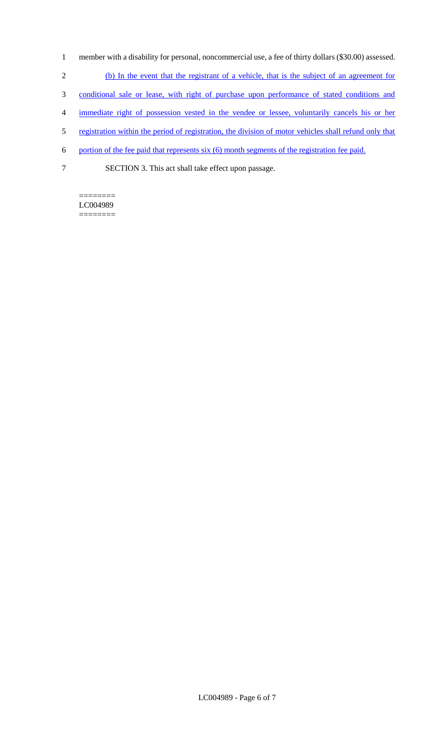- 1 member with a disability for personal, noncommercial use, a fee of thirty dollars (\$30.00) assessed.
- 2 (b) In the event that the registrant of a vehicle, that is the subject of an agreement for
- 3 conditional sale or lease, with right of purchase upon performance of stated conditions and
- 4 immediate right of possession vested in the vendee or lessee, voluntarily cancels his or her
- 5 registration within the period of registration, the division of motor vehicles shall refund only that
- 6 portion of the fee paid that represents six (6) month segments of the registration fee paid.
- 7 SECTION 3. This act shall take effect upon passage.

======== LC004989 ========